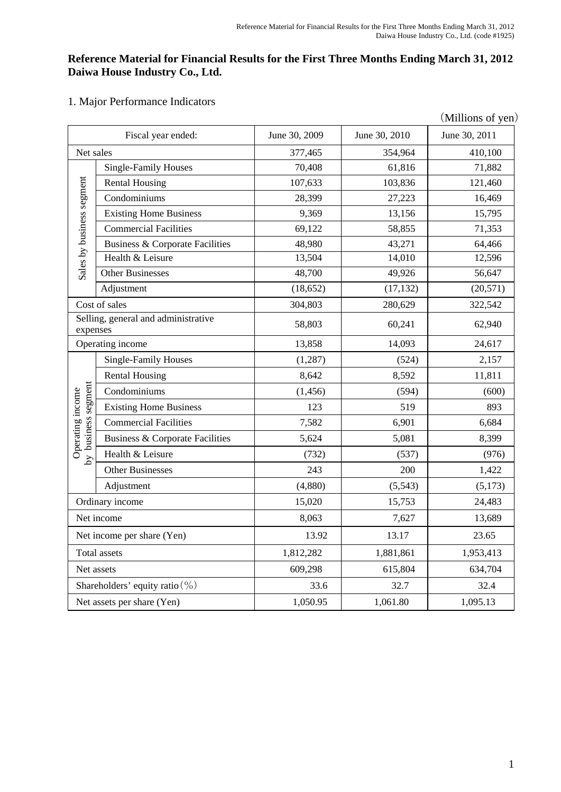## **Reference Material for Financial Results for the First Three Months Ending March 31, 2012 Daiwa House Industry Co., Ltd.**

## 1. Major Performance Indicators

|                                                                  |                                            |               |               | (Millions of yen) |
|------------------------------------------------------------------|--------------------------------------------|---------------|---------------|-------------------|
| Fiscal year ended:                                               |                                            | June 30, 2009 | June 30, 2010 | June 30, 2011     |
| Net sales                                                        |                                            | 377,465       | 354,964       | 410,100           |
| Sales by business segment                                        | <b>Single-Family Houses</b>                | 70,408        | 61,816        | 71,882            |
|                                                                  | <b>Rental Housing</b>                      | 107,633       | 103,836       | 121,460           |
|                                                                  | Condominiums                               | 28,399        | 27,223        | 16,469            |
|                                                                  | <b>Existing Home Business</b>              | 9,369         | 13,156        | 15,795            |
|                                                                  | <b>Commercial Facilities</b>               | 69,122        | 58,855        | 71,353            |
|                                                                  | <b>Business &amp; Corporate Facilities</b> | 48,980        | 43,271        | 64,466            |
|                                                                  | Health & Leisure                           | 13,504        | 14,010        | 12,596            |
|                                                                  | <b>Other Businesses</b>                    | 48,700        | 49,926        | 56,647            |
|                                                                  | Adjustment                                 | (18, 652)     | (17, 132)     | (20, 571)         |
|                                                                  | Cost of sales                              | 304,803       | 280,629       | 322,542           |
| Selling, general and administrative<br>expenses                  |                                            | 58,803        | 60,241        | 62,940            |
| Operating income                                                 |                                            | 13,858        | 14,093        | 24,617            |
| business segment<br>Operating income<br>$\overline{\mathcal{S}}$ | <b>Single-Family Houses</b>                | (1,287)       | (524)         | 2,157             |
|                                                                  | <b>Rental Housing</b>                      | 8,642         | 8,592         | 11,811            |
|                                                                  | Condominiums                               | (1,456)       | (594)         | (600)             |
|                                                                  | <b>Existing Home Business</b>              | 123           | 519           | 893               |
|                                                                  | <b>Commercial Facilities</b>               | 7,582         | 6,901         | 6,684             |
|                                                                  | Business & Corporate Facilities            | 5,624         | 5,081         | 8,399             |
|                                                                  | Health & Leisure                           | (732)         | (537)         | (976)             |
|                                                                  | <b>Other Businesses</b>                    | 243           | 200           | 1,422             |
|                                                                  | Adjustment                                 | (4,880)       | (5,543)       | (5,173)           |
| Ordinary income                                                  |                                            | 15,020        | 15,753        | 24,483            |
| Net income                                                       |                                            | 8,063         | 7,627         | 13,689            |
| Net income per share (Yen)                                       |                                            | 13.92         | 13.17         | 23.65             |
| Total assets                                                     |                                            | 1,812,282     | 1,881,861     | 1,953,413         |
| Net assets                                                       |                                            | 609,298       | 615,804       | 634,704           |
| Shareholders' equity ratio $(\% )$                               |                                            | 33.6          | 32.7          | 32.4              |
| Net assets per share (Yen)                                       |                                            | 1,050.95      | 1,061.80      | 1,095.13          |